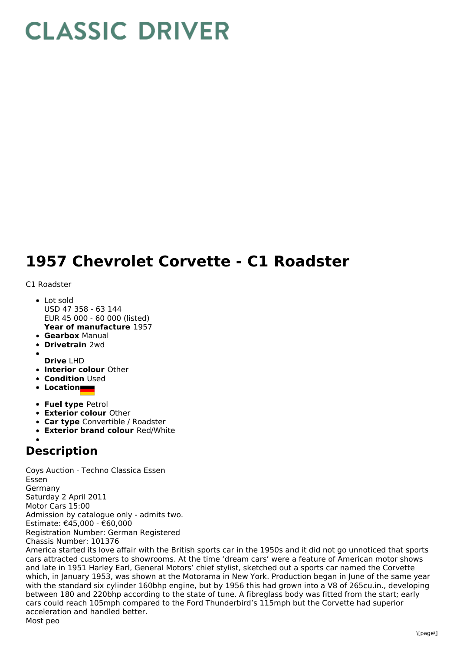## **CLASSIC DRIVER**

## **1957 Chevrolet Corvette - C1 Roadster**

## C1 Roadster

- **Year of manufacture** 1957 • Lot sold USD 47 358 - 63 144 EUR 45 000 - 60 000 (listed)
- **Gearbox** Manual
- **Drivetrain** 2wd
- **Drive** LHD
- **Interior colour** Other
- **Condition** Used
- **Location**
- **Fuel type** Petrol
- **Exterior colour** Other
- **Car type** Convertible / Roadster
- **Exterior brand colour** Red/White

## **Description**

Coys Auction - Techno Classica Essen Essen Germany Saturday 2 April 2011 Motor Cars 15:00 Admission by catalogue only - admits two. Estimate: €45,000 - €60,000 Registration Number: German Registered Chassis Number: 101376 America started its love affair with the British sports car in the 1950s and it did not go unnoticed that sports cars attracted customers to showrooms. At the time 'dream cars' were a feature of American motor shows and late in 1951 Harley Earl, General Motors' chief stylist, sketched out a sports car named the Corvette which, in January 1953, was shown at the Motorama in New York. Production began in June of the same year with the standard six cylinder 160bhp engine, but by 1956 this had grown into a V8 of 265cu.in., developing between 180 and 220bhp according to the state of tune. A fibreglass body was fitted from the start; early cars could reach 105mph compared to the Ford Thunderbird's 115mph but the Corvette had superior acceleration and handled better.

Most peo